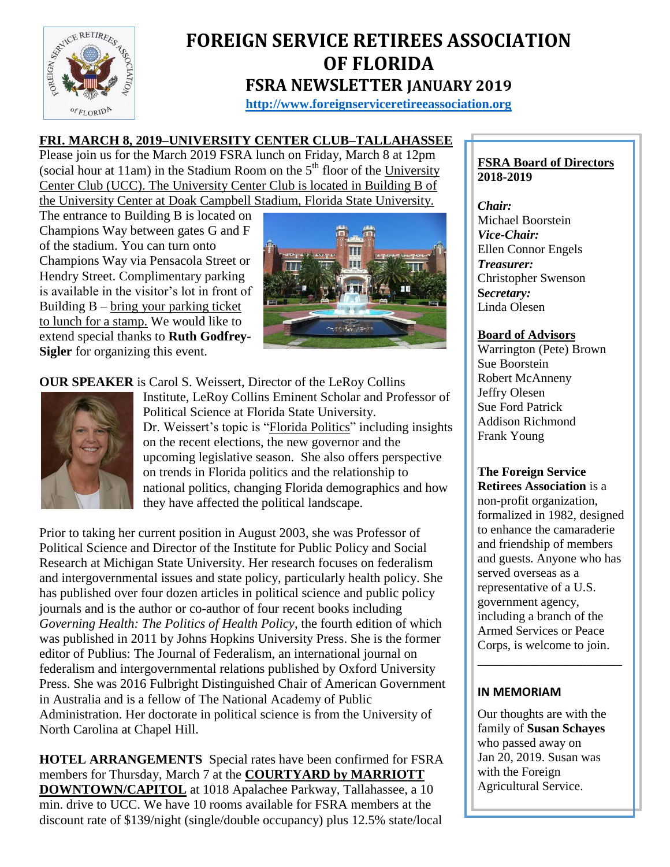

### **FOREIGN SERVICE RETIREES ASSOCIATION OF FLORIDA FSRA NEWSLETTER JANUARY 2019**

**[http://www.foreignserviceretireeassociation.org](http://www.foreignserviceretireeassociation.org/)**

#### **FRI. MARCH 8, 2019–UNIVERSITY CENTER CLUB–TALLAHASSEE**

Please join us for the March 2019 FSRA lunch on Friday, March 8 at 12pm Please join us for the March 2019 FSRA lunch on Friday, March 8 at 12pm<br>(social hour at 11am) in the Stadium Room on the 5<sup>th</sup> floor of the University **http://www.formarchive.org/2019** Center Club (UCC). The University Center Club is located in Building B of the University Center at Doak Campbell Stadium, Florida State University.

The entrance to Building B is located on Champions Way between gates G and F of the stadium. You can turn onto Champions Way via Pensacola Street or Hendry Street. Complimentary parking is available in the visitor's lot in front of Building B – bring your parking ticket to lunch for a stamp. We would like to extend special thanks to **Ruth Godfrey-Sigler** for organizing this event.



**OUR SPEAKER** is Carol S. Weissert, Director of the LeRoy Collins



Institute, LeRoy Collins Eminent Scholar and Professor of Political Science at Florida State University. Dr. Weissert's topic is "Florida Politics" including insights on the recent elections, the new governor and the upcoming legislative season. She also offers perspective on trends in Florida politics and the relationship to national politics, changing Florida demographics and how they have affected the political landscape.

Prior to taking her current position in August 2003, she was Professor of Political Science and Director of the Institute for Public Policy and Social Research at Michigan State University. Her research focuses on federalism and intergovernmental issues and state policy, particularly health policy. She has published over four dozen articles in political science and public policy journals and is the author or co-author of four recent books including *Governing Health: The Politics of Health Policy*, the fourth edition of which was published in 2011 by Johns Hopkins University Press. She is the former editor of Publius: The Journal of Federalism, an international journal on federalism and intergovernmental relations published by Oxford University Press. She was 2016 Fulbright Distinguished Chair of American Government in Australia and is a fellow of The National Academy of Public Administration. Her doctorate in political science is from the University of North Carolina at Chapel Hill.

**HOTEL ARRANGEMENTS** Special rates have been confirmed for FSRA members for Thursday, March 7 at the **COURTYARD by MARRIOTT DOWNTOWN/CAPITOL** at 1018 Apalachee Parkway, Tallahassee, a 10 min. drive to UCC. We have 10 rooms available for FSRA members at the discount rate of \$139/night (single/double occupancy) plus 12.5% state/local

# **2018-2019**

*Chair:*  Michael Boorstein *Vice-Chair:* Ellen Connor Engels *Treasurer:* Christopher Swenson **S***ecretary:* Linda Olesen

#### **Board of Advisors**

Warrington (Pete) Brown Sue Boorstein Robert McAnneny Jeffry Olesen Sue Ford Patrick Addison Richmond Frank Young

#### **The Foreign Service**

**Retirees Association** is a non-profit organization, formalized in 1982, designed to enhance the camaraderie and friendship of members and guests. Anyone who has served overseas as a representative of a U.S. government agency, including a branch of the Armed Services or Peace Corps, is welcome to join.

\_\_\_\_\_\_\_\_\_\_\_\_\_\_\_\_\_\_\_\_\_\_

#### **IN MEMORIAM**

Our thoughts are with the family of **Susan Schayes** who passed away on Jan 20, 2019. Susan was with the Foreign Agricultural Service.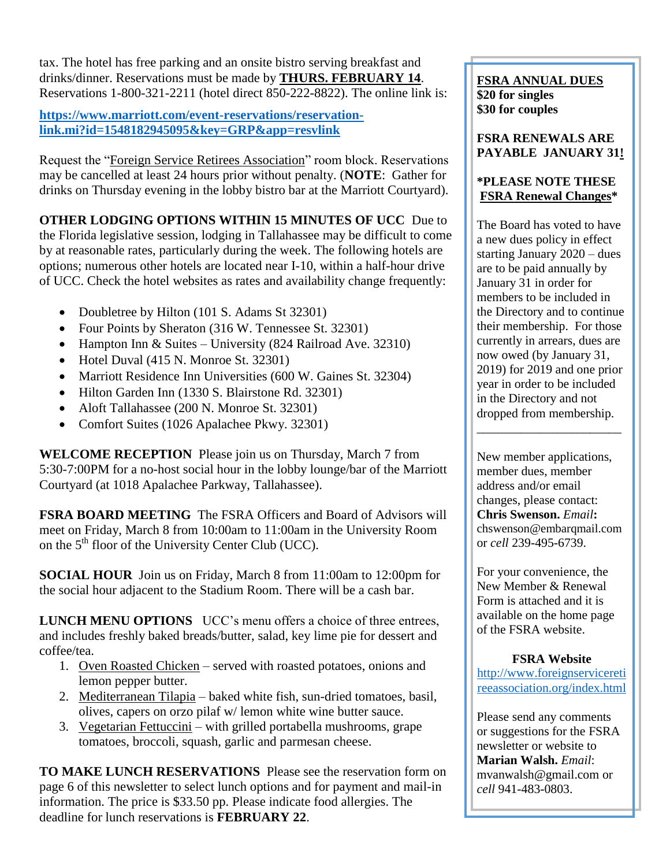tax. The hotel has free parking and an onsite bistro serving breakfast and drinks/dinner. Reservations must be made by **THURS. FEBRUARY 14**. Reservations 1-800-321-2211 (hotel direct  $850-222-8822$ ). The online link is:

**[https://www.marriott.com/event-reservations/reservation](https://www.marriott.com/event-reservations/reservation-link.mi?id=1548182945095&key=GRP&app=resvlink)[link.mi?id=1548182945095&key=GRP&app=resvlink](https://www.marriott.com/event-reservations/reservation-link.mi?id=1548182945095&key=GRP&app=resvlink)**

Request the "Foreign Service Retirees Association" room block. Reservations may be cancelled at least 24 hours prior without penalty. (**NOTE**: Gather for drinks on Thursday evening in the lobby bistro bar at the Marriott Courtyard).

**OTHER LODGING OPTIONS WITHIN 15 MINUTES OF UCC** Due to the Florida legislative session, lodging in Tallahassee may be difficult to come by at reasonable rates, particularly during the week. The following hotels are options; numerous other hotels are located near I-10, within a half-hour drive of UCC. Check the hotel websites as rates and availability change frequently:

- Doubletree by Hilton (101 S. Adams St 32301)
- Four Points by Sheraton (316 W. Tennessee St. 32301)
- Hampton Inn & Suites University  $(824 \text{ Railroad Ave. } 32310)$
- Hotel Duval (415 N. Monroe St. 32301)
- Marriott Residence Inn Universities (600 W. Gaines St. 32304)
- Hilton Garden Inn (1330 S. Blairstone Rd. 32301)
- Aloft Tallahassee (200 N. Monroe St. 32301)
- Comfort Suites (1026 Apalachee Pkwy. 32301)

**WELCOME RECEPTION** Please join us on Thursday, March 7 from 5:30-7:00PM for a no-host social hour in the lobby lounge/bar of the Marriott Courtyard (at 1018 Apalachee Parkway, Tallahassee).

**FSRA BOARD MEETING** The FSRA Officers and Board of Advisors will meet on Friday, March 8 from 10:00am to 11:00am in the University Room on the  $5<sup>th</sup>$  floor of the University Center Club (UCC).

**SOCIAL HOUR** Join us on Friday, March 8 from 11:00am to 12:00pm for the social hour adjacent to the Stadium Room. There will be a cash bar.

**LUNCH MENU OPTIONS** UCC's menu offers a choice of three entrees, and includes freshly baked breads/butter, salad, key lime pie for dessert and coffee/tea.

- 1. Oven Roasted Chicken served with roasted potatoes, onions and lemon pepper butter.
- 2. Mediterranean Tilapia baked white fish, sun-dried tomatoes, basil, olives, capers on orzo pilaf w/ lemon white wine butter sauce.
- 3. Vegetarian Fettuccini with grilled portabella mushrooms, grape tomatoes, broccoli, squash, garlic and parmesan cheese.

**TO MAKE LUNCH RESERVATIONS** Please see the reservation form on page 6 of this newsletter to select lunch options and for payment and mail-in information. The price is \$33.50 pp. Please indicate food allergies. The deadline for lunch reservations is **FEBRUARY 22**.

#### **FSRA ANNUAL DUES \$20 for singles \$30 for couples**

#### **FSRA RENEWALS ARE PAYABLE JANUARY 31!**

#### **\*PLEASE NOTE THESE FSRA Renewal Changes\***

The Board has voted to have a new dues policy in effect starting January 2020 – dues are to be paid annually by January 31 in order for members to be included in the Directory and to continue their membership. For those currently in arrears, dues are now owed (by January 31, 2019) for 2019 and one prior year in order to be included in the Directory and not dropped from membership.

New member applications, member dues, member address and/or email changes, please contact: **Chris Swenson.** *Email***:** [chswenson@embarqmail.com](mailto:chswenson@embarqmail.com) or *cell* 239-495-6739.

\_\_\_\_\_\_\_\_\_\_\_\_\_\_\_\_\_\_\_\_\_\_\_

For your convenience, the New Member & Renewal Form is attached and it is available on the home page of the FSRA website.

#### **FSRA Website**

[http://www.foreignservicereti](http://www.foreignserviceretireeassociation.org/index.html) [reeassociation.org/index.html](http://www.foreignserviceretireeassociation.org/index.html)

Please send any comments or suggestions for the FSRA newsletter or website to **Marian Walsh.** *Email*: [mvanwalsh@gmail.com](mailto:mvanwalsh@gmail.com) or *cell* 941-483-0803.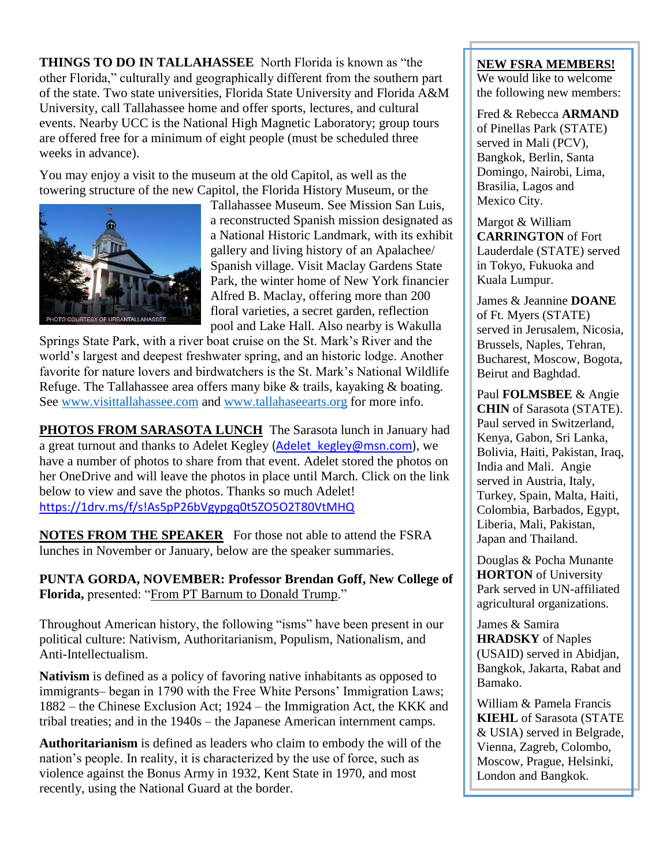**THINGS TO DO IN TALLAHASSEE** North Florida is known as "the other Florida," culturally and geographically different from the southern part of the state. Two state universities, Florida State University and Florida A&M University, call Tallahassee home and offer sports, lectures, and cultural events. Nearby UCC is the National High Magnetic Laboratory; group tours are offered free for a minimum of eight people (must be scheduled three weeks in advance).

You may enjoy a visit to the museum at the old Capitol, as well as the towering structure of the new Capitol, the Florida History Museum, or the



Tallahassee Museum. See Mission San Luis, a reconstructed Spanish mission designated as a National Historic Landmark, with its exhibit gallery and living history of an Apalachee/ Spanish village. Visit Maclay Gardens State Park, the winter home of New York financier Alfred B. Maclay, offering more than 200 floral varieties, a secret garden, reflection pool and Lake Hall. Also nearby is Wakulla

Springs State Park, with a river boat cruise on the St. Mark's River and the world's largest and deepest freshwater spring, and an historic lodge. Another favorite for nature lovers and birdwatchers is the St. Mark's National Wildlife Refuge. The Tallahassee area offers many bike & trails, kayaking & boating. See [www.visittallahassee.com](http://www.visittallahassee.com/) and [www.tallahaseearts.org](http://www.tallahaseearts.org/) for more info.

**PHOTOS FROM SARASOTA LUNCH** The Sarasota lunch in January had a great turnout and thanks to Adelet Kegley (Adelet kegley@msn.com), we have a number of photos to share from that event. Adelet stored the photos on her OneDrive and will leave the photos in place until March. Click on the link below to view and save the photos. Thanks so much Adelet! [https://1drv.ms/f/s!As5pP26bVgypgq0t5ZO5O2T80VtMHQ](https://eur03.safelinks.protection.outlook.com/?url=https%3A%2F%2F1drv.ms%2Ff%2Fs!As5pP26bVgypgq0t5ZO5O2T80VtMHQ&data=02%7C01%7C%7C489323db22cf4618d25008d6795da2a4%7C84df9e7fe9f640afb435aaaaaaaaaaaa%7C1%7C0%7C636829840392833506&sdata=1GHnJx%2Fgik2VpkDPilAOskkuvqccl6tRZeuNemsJsZg%3D&reserved=0)

**NOTES FROM THE SPEAKER** For those not able to attend the FSRA lunches in November or January, below are the speaker summaries.

**PUNTA GORDA, NOVEMBER: Professor Brendan Goff, New College of Florida,** presented: "From PT Barnum to Donald Trump."

Throughout American history, the following "isms" have been present in our political culture: Nativism, Authoritarianism, Populism, Nationalism, and Anti-Intellectualism.

**Nativism** is defined as a policy of favoring native inhabitants as opposed to immigrants– began in 1790 with the Free White Persons' Immigration Laws; 1882 – the Chinese Exclusion Act; 1924 – the Immigration Act, the KKK and tribal treaties; and in the 1940s – the Japanese American internment camps.

**Authoritarianism** is defined as leaders who claim to embody the will of the nation's people. In reality, it is characterized by the use of force, such as violence against the Bonus Army in 1932, Kent State in 1970, and most recently, using the National Guard at the border.

#### **NEW FSRA MEMBERS!**

We would like to welcome the following new members:

Fred & Rebecca **ARMAND** of Pinellas Park (STATE) served in Mali (PCV), Bangkok, Berlin, Santa Domingo, Nairobi, Lima, Brasilia, Lagos and Mexico City.

Margot & William **CARRINGTON** of Fort Lauderdale (STATE) served in Tokyo, Fukuoka and Kuala Lumpur.

James & Jeannine **DOANE** of Ft. Myers (STATE) served in Jerusalem, Nicosia, Brussels, Naples, Tehran, Bucharest, Moscow, Bogota, Beirut and Baghdad.

Paul **FOLMSBEE** & Angie **CHIN** of Sarasota (STATE). Paul served in Switzerland, Kenya, Gabon, Sri Lanka, Bolivia, Haiti, Pakistan, Iraq, India and Mali. Angie served in Austria, Italy, Turkey, Spain, Malta, Haiti, Colombia, Barbados, Egypt, Liberia, Mali, Pakistan, Japan and Thailand.

Douglas & Pocha Munante **HORTON** of University Park served in UN-affiliated agricultural organizations.

James & Samira **HRADSKY** of Naples (USAID) served in Abidjan, Bangkok, Jakarta, Rabat and Bamako.

William & Pamela Francis **KIEHL** of Sarasota (STATE & USIA) served in Belgrade, Vienna, Zagreb, Colombo, Moscow, Prague, Helsinki, London and Bangkok.

Russell & Anita LeCLAIR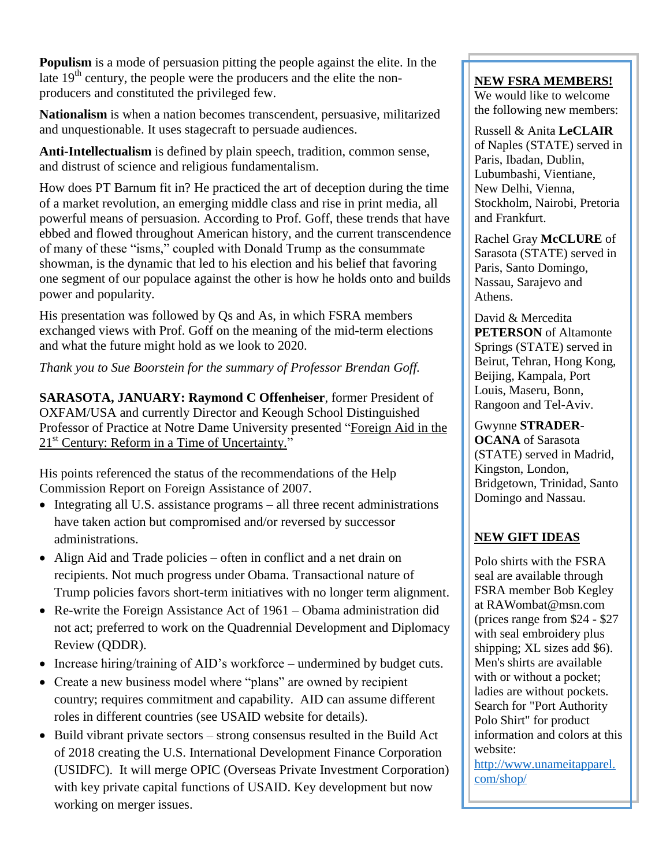**Populism** is a mode of persuasion pitting the people against the elite. In the late  $19<sup>th</sup>$  century, the people were the producers and the elite the nonproducers and constituted the privileged few.

**Nationalism** is when a nation becomes transcendent, persuasive, militarized and unquestionable. It uses stagecraft to persuade audiences.

**Anti-Intellectualism** is defined by plain speech, tradition, common sense, and distrust of science and religious fundamentalism.

How does PT Barnum fit in? He practiced the art of deception during the time of a market revolution, an emerging middle class and rise in print media, all powerful means of persuasion. According to Prof. Goff, these trends that have ebbed and flowed throughout American history, and the current transcendence of many of these "isms," coupled with Donald Trump as the consummate showman, is the dynamic that led to his election and his belief that favoring one segment of our populace against the other is how he holds onto and builds power and popularity.

His presentation was followed by Qs and As, in which FSRA members exchanged views with Prof. Goff on the meaning of the mid-term elections and what the future might hold as we look to 2020.

*Thank you to Sue Boorstein for the summary of Professor Brendan Goff.*

**SARASOTA, JANUARY: Raymond C Offenheiser**, former President of OXFAM/USA and currently Director and Keough School Distinguished Professor of Practice at Notre Dame University presented "Foreign Aid in the 21<sup>st</sup> Century: Reform in a Time of Uncertainty."

His points referenced the status of the recommendations of the Help Commission Report on Foreign Assistance of 2007.

- Integrating all U.S. assistance programs all three recent administrations have taken action but compromised and/or reversed by successor administrations.
- Align Aid and Trade policies often in conflict and a net drain on recipients. Not much progress under Obama. Transactional nature of Trump policies favors short-term initiatives with no longer term alignment.
- Re-write the Foreign Assistance Act of 1961 Obama administration did not act; preferred to work on the Quadrennial Development and Diplomacy Review (QDDR).
- Increase hiring/training of AID's workforce undermined by budget cuts.
- Create a new business model where "plans" are owned by recipient country; requires commitment and capability. AID can assume different roles in different countries (see USAID website for details).
- Build vibrant private sectors strong consensus resulted in the Build Act of 2018 creating the U.S. International Development Finance Corporation (USIDFC). It will merge OPIC (Overseas Private Investment Corporation) with key private capital functions of USAID. Key development but now working on merger issues.

#### **NEW FSRA MEMBERS!**

We would like to welcome the following new members:

Russell & Anita **LeCLAIR** of Naples (STATE) served in Paris, Ibadan, Dublin, Lubumbashi, Vientiane, New Delhi, Vienna, Stockholm, Nairobi, Pretoria and Frankfurt.

Rachel Gray **McCLURE** of Sarasota (STATE) served in Paris, Santo Domingo, Nassau, Sarajevo and Athens.

David & Mercedita **PETERSON** of Altamonte Springs (STATE) served in Beirut, Tehran, Hong Kong, Beijing, Kampala, Port Louis, Maseru, Bonn, Rangoon and Tel-Aviv.

Gwynne **STRADER**-**OCANA** of Sarasota (STATE) served in Madrid, Kingston, London, Bridgetown, Trinidad, Santo Domingo and Nassau.

#### **NEW GIFT IDEAS**

Polo shirts with the FSRA seal are available through FSRA member Bob Kegley at [RAWombat@msn.com](mailto:RAWombat@msn.com) (prices range from \$24 - \$27 with seal embroidery plus shipping; XL sizes add \$6). Men's shirts are available with or without a pocket; ladies are without pockets. Search for "Port Authority Polo Shirt" for product information and colors at this website:

[http://www.unameitapparel.](http://www.unameitapparel.com/shop/) [com/shop/](http://www.unameitapparel.com/shop/)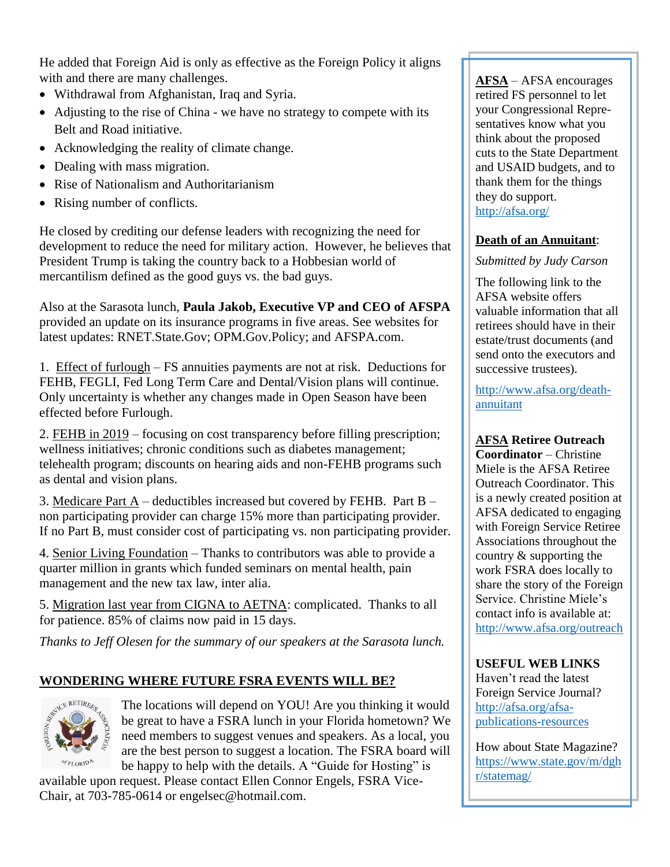He added that Foreign Aid is only as effective as the Foreign Policy it aligns with and there are many challenges.

- Withdrawal from Afghanistan, Iraq and Syria.
- Adjusting to the rise of China we have no strategy to compete with its Belt and Road initiative.
- Acknowledging the reality of climate change.
- Dealing with mass migration.
- Rise of Nationalism and Authoritarianism
- Rising number of conflicts.

He closed by crediting our defense leaders with recognizing the need for development to reduce the need for military action. However, he believes that President Trump is taking the country back to a Hobbesian world of mercantilism defined as the good guys vs. the bad guys.

Also at the Sarasota lunch, **Paula Jakob, Executive VP and CEO of AFSPA** provided an update on its insurance programs in five areas. See websites for latest updates: RNET.State.Gov; OPM.Gov.Policy; and AFSPA.com.

1. Effect of furlough – FS annuities payments are not at risk. Deductions for FEHB, FEGLI, Fed Long Term Care and Dental/Vision plans will continue. Only uncertainty is whether any changes made in Open Season have been effected before Furlough.

2. FEHB in 2019 – focusing on cost transparency before filling prescription; wellness initiatives; chronic conditions such as diabetes management; telehealth program; discounts on hearing aids and non-FEHB programs such as dental and vision plans.

3. Medicare Part A – deductibles increased but covered by FEHB. Part B – non participating provider can charge 15% more than participating provider. If no Part B, must consider cost of participating vs. non participating provider.

4. Senior Living Foundation – Thanks to contributors was able to provide a quarter million in grants which funded seminars on mental health, pain management and the new tax law, inter alia.

5. Migration last year from CIGNA to AETNA: complicated. Thanks to all for patience. 85% of claims now paid in 15 days.

*Thanks to Jeff Olesen for the summary of our speakers at the Sarasota lunch.*

#### **WONDERING WHERE FUTURE FSRA EVENTS WILL BE?**



The locations will depend on YOU! Are you thinking it would be great to have a FSRA lunch in your Florida hometown? We need members to suggest venues and speakers. As a local, you are the best person to suggest a location. The FSRA board will be happy to help with the details. A "Guide for Hosting" is

available upon request. Please contact Ellen Connor Engels, FSRA Vice-Chair, at 703-785-0614 or [engelsec@hotmail.com.](mailto:engelsec@hotmail.com)

**AFSA** – AFSA encourages retired FS personnel to let your Congressional Representatives know what you think about the proposed cuts to the State Department and USAID budgets, and to thank them for the things they do support. <http://afsa.org/>

#### **Death of an Annuitant**:

#### *Submitted by Judy Carson*

The following link to the AFSA website offers valuable information that all retirees should have in their estate/trust documents (and send onto the executors and successive trustees).

[http://www.afsa.org/death](http://www.afsa.org/death-annuitant)[annuitant](http://www.afsa.org/death-annuitant)

**AFSA Retiree Outreach Coordinator** – Christine Miele is the AFSA Retiree Outreach Coordinator. This is a newly created position at AFSA dedicated to engaging with Foreign Service Retiree Associations throughout the country & supporting the work FSRA does locally to share the story of the Foreign Service. Christine Miele's contact info is available at: <http://www.afsa.org/outreach>

#### **USEFUL WEB LINKS**

Haven't read the latest Foreign Service Journal? [http://afsa.org/afsa](http://afsa.org/afsa-publications-resources)[publications-resources](http://afsa.org/afsa-publications-resources)

How about State Magazine? [https://www.state.gov/m/dgh](https://www.state.gov/m/dghr/statemag/) [r/statemag/](https://www.state.gov/m/dghr/statemag/)